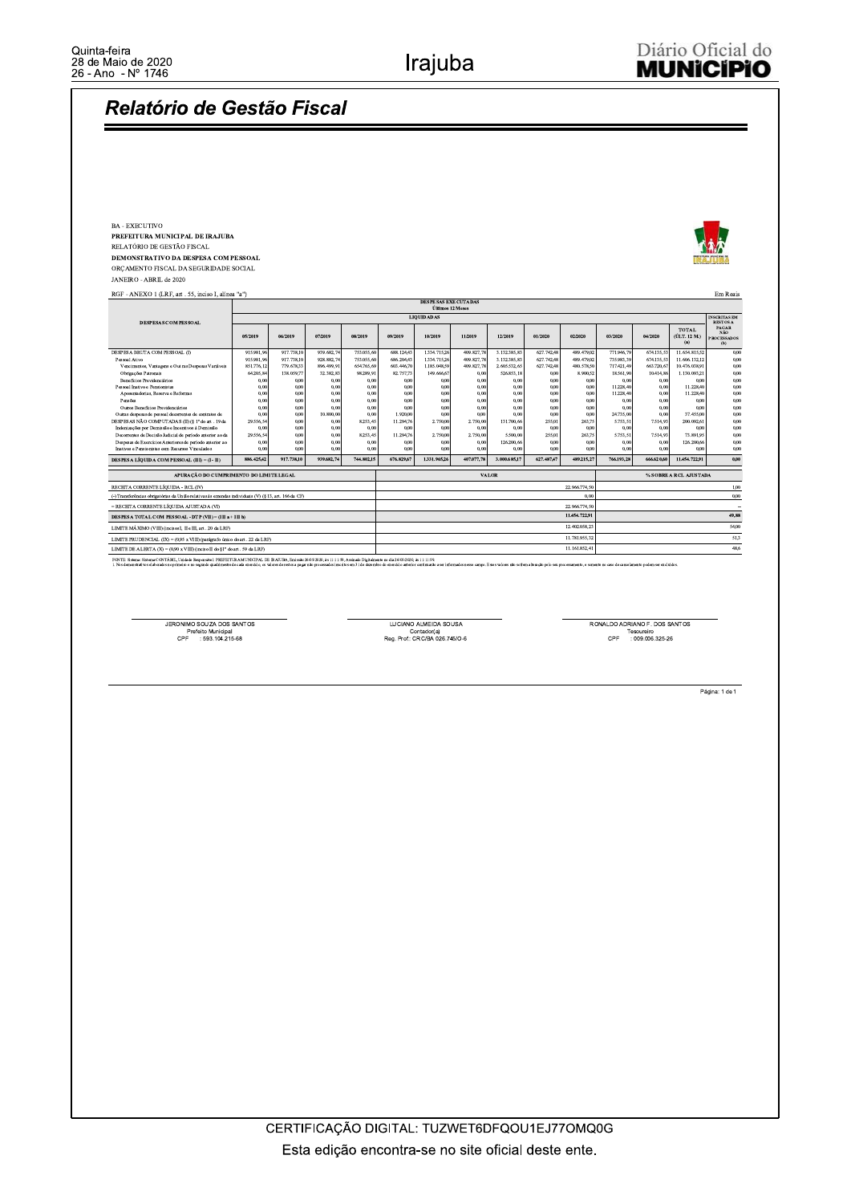## Relatório de Gestão Fiscal

BA - EXECUTIVO PREFEITURA MUNICIPAL DE IRAJUBA

RELATÓRIO DE GESTÃO FISCAL **DEMONSTRATIVO DA DESPESA COM PESSOAL** ORÇAMENTO FISCAL DA SEGURIDADE SOCIAL

JANEIRO - ABRIL de 2020

| RGF - ANEXO 1 (LRF, art . 55, inciso I, alinea "a")                                                  |                   |              |               |              |                                        |                                                |              |               |              |               |                        |              |                                        | Em Reais                                          |
|------------------------------------------------------------------------------------------------------|-------------------|--------------|---------------|--------------|----------------------------------------|------------------------------------------------|--------------|---------------|--------------|---------------|------------------------|--------------|----------------------------------------|---------------------------------------------------|
|                                                                                                      |                   |              |               |              |                                        | <b>DESPESAS EXECUTADAS</b><br>Últimos 12 Meses |              |               |              |               |                        |              |                                        |                                                   |
|                                                                                                      | <b>LIQUIDADAS</b> |              |               |              |                                        |                                                |              |               |              |               |                        |              | <b>INSCRITAS EM</b><br><b>RESTOS A</b> |                                                   |
| DESPESAS COM PESSOAI                                                                                 | 05/2019           | 06/2019      | 07/2019       | 08/2019      | 09/2019                                | 10/2019                                        | 11/2019      | 12/2019       | 01/2020      | 02/2020       | 03/2020                | 04/2020      | <b>TOTAL</b><br>(ÚLT. 12 M.)<br>(a)    | <b>PAGAR</b><br>NÃO.<br><b>PROCESSADOS</b><br>(b) |
| DESPESA BRUTA COM PESSOAL (I)                                                                        | 915.981,96        | 917.738.10   | 939.682.74    | 753.055.60   | 688.124,43                             | 1.334.715.26                                   | 409.827,78   | 3.132.385.83  | 627.742.48   | 489.479,02    | 771.946,79             | 674.135,53   | 11.654.815.52                          | 0.00                                              |
| Pessoal Ativo                                                                                        | 915.981.96        | 917.738.10   | 928.882.74    | 753.055.60   | 686.204,43                             | 1.334.715.26                                   | 409.827,78   | 3.132.385.83  | 627.742.48   | 489.479.02    | 735.983.39             | 674.135.53   | 11.606.132.12                          | 0.00                                              |
| Vencimentos, Vantagens e Out ras Despesas Variáveis                                                  | 851.776,12        | 779.678.33   | 896.499.91    | 654.765.69   | 603.446.70                             | 1.185.048.59                                   | 409.827.78   | 2.605.532.65  | 627.742,48   | 480.578.50    | 717.421.49             | 663.720.6    | 10.476.038.9                           | 0.00                                              |
| Obrigações Patronais                                                                                 | 64,205,84         | 138.059,77   | 32.382.83     | 98.289.91    | 82.757.73                              | 149.666,67                                     | 0,00         | 526.853.18    | 0.00         | 8.900.52      | 18.561.90              | 10.414,86    | 1.130.093.21                           | 0.00                                              |
| Beneficios Previdenciários                                                                           | 0,00              | 0,00         | 0.00          | 0.00         | 0,00                                   | 0.00                                           | 0,00         | 0,00          | 0.00         | 0,00          | 0.00                   | 0.00         | 0.00                                   | 0,00                                              |
| Pessoal Inativo e Pensionistas<br>Aposentadorias, Reserva e Reformas                                 | 0.00              | 0.00         | 0.00<br>0.00  | 0.00<br>0.00 | 0.00<br>0.00                           | 0.00<br>0.00                                   | 0.00<br>0,00 | 0.00<br>0,00  | 0.00<br>0.00 | 0,00<br>0.00  | 11.228,40<br>11.228.40 | 0.00<br>0.00 | 11.228,40<br>11.228.40                 | 0.00<br>0,00                                      |
|                                                                                                      | 0,00<br>0.00      | 0,00<br>0.00 |               |              | 0.00                                   |                                                | 0.00         | 0.00          | 0.00         | 0.00          |                        | 0.00         |                                        | 0.00                                              |
| Pensões<br>Outros Benefícios Previdenciários                                                         | 0.00              | 0,00         | 0.00<br>0.00  | 0.00<br>0.00 | 0.00                                   | 0.00<br>0.00                                   | 0.00         | 0,00          | 0.00         | 0.00          | 0.00<br>0.00           | 0.00         | 0.00<br>0.00                           | 0.00                                              |
| Outras despesas de pessoal decorrentes de contratos de                                               | 0,00              | 0,00         | 10.800,00     | 0.00         | 1.920,00                               | 0.00                                           | 0,00         | 0,00          | 0.00         | 0,00          | 24.735.00              | 0.00         | 37.455,00                              | 0.00                                              |
| DESPESAS NÃO COMPUTADAS (II) (§ 1° do art. 19 da                                                     | 29.556,54         | 0,00         | 0,00          | 8.253,45     | 11.294.76                              | 2.750.00                                       | 2.750,00     | 131.700.66    | 255,01       | 263,75        | 5.753.51               | 7.514,93     | 200.092.61                             | 0,00                                              |
| Indenizações por Demissão e Incentivos à Demissão                                                    | 0.00              | 0,00         | 0,00          | 0.00         | 0.00                                   | 0.00                                           | 0,00         | 0,00          | 0.00         | 0.00          | 0.00                   | 0.00         | 0.00                                   | 0.00                                              |
| Decorrentes de Decisão Judicial de período anterior ao da                                            | 29.556,54         | 0,00         | 0,00          | 8.253,45     | 11.294.76                              | 2.750.00                                       | 2.750.00     | 5.500,00      | 255,01       | 263,75        | 5.753.51               | 7.514.93     | 73.891.95                              | 0,00                                              |
| Despesas de Exercícios Anteriores de período anterior ao                                             | 0,00              | 0,00         | 0,00          | 0.00         | 0.00                                   | 0,00                                           | 0,00         | 126.200,66    | 0,00         | 0,00          | 0.00                   | 0.00         | 126.200,66                             | 0.00                                              |
| Inativos e Pensionistas com Recursos Vinculados                                                      | 0.00              | 0.00         | 0.00          | 0.00         | 0.00                                   | 0.00                                           | 0.00         | 0.00          | 0.00         | 0.00          | 0.00                   | 0.00         | 0.00                                   | 0,00                                              |
| <b>DESPESA LÍQUIDA COM PESSOAL (III) = (I - II)</b>                                                  | 886,425,42        | 917.738.10   | 939,682,74    | 744.802.15   | 676,829.67                             | 1.331.965.26                                   | 407.077.78   | 3,000,685,17  | 627.487.47   | 489.215.27    | 766.193.28             | 666,620,60   | 11.454.722.91                          | 0.00                                              |
| APURAÇÃO DO CUMPRIMENTO DO LIMITE LEGAL                                                              |                   |              |               |              | <b>VALOR</b><br>% SOBRE A RCL AJUSTADA |                                                |              |               |              |               |                        |              |                                        |                                                   |
| RECEITA CORRENTE LÍOUIDA - RCL (IV)                                                                  |                   |              |               |              | 22.966.774.50                          |                                                |              |               |              |               |                        | 1,00         |                                        |                                                   |
| (-) Transferências obrigatórias da União relativas às emendas individuais (V) (§ 13, art. 166 da CF) |                   |              |               |              |                                        |                                                |              |               |              | 0.00          |                        |              |                                        | 0.00                                              |
| = RECEITA CORRENTE LÍQUIDA AJUSTADA (VI)                                                             |                   |              | 22.966.774.50 |              |                                        |                                                |              |               |              |               |                        |              |                                        |                                                   |
| <b>DESPESA TOTAL COM PESSOAL - DTP (VII) = (III a + III b)</b>                                       |                   |              |               |              |                                        |                                                |              | 11.454.722.91 |              |               |                        | 49.88        |                                        |                                                   |
| LIMITE MÁXIMO (VIII) (incisos I. II e III, art. 20 da LRF)                                           |                   |              |               |              |                                        |                                                |              | 12.402.058.23 |              |               |                        | 54,00        |                                        |                                                   |
| LIMITE PRUDENCIAL (IX) = (0.95 x VIII) (parágrafo único do art. 22 da LRF)                           |                   |              |               |              | 11.781.955.32                          |                                                |              |               |              |               | 51,3                   |              |                                        |                                                   |
| LIMITE DE ALERTA (X) = (0,90 x VIII) (inciso II do 81° do art, 59 da LRF)                            |                   |              |               |              |                                        |                                                |              |               |              | 11.161.852,41 |                        |              |                                        | 48,6                                              |
|                                                                                                      |                   |              |               |              |                                        |                                                |              |               |              |               |                        |              |                                        |                                                   |

FONTE: Sistema: Sistema CONTÁBIL, Unidade Responsivel: PREFEITURA MUNICIPAL DE IRAJUBA, Emissão/2605/2020, às 11:11:59, Assinado Digitalmente no dia 2605/2020, às 11:11:59.<br>1. Nos demonstrativos elaborados no primeiro e no

JERONIMO SOUZA DOS SANTOS<br>Prefeito Municipal<br>CPF : 593.104.215-68

LUCIANO ALMEIDA SOUSA Contador(a)<br>Reg. Prof.: CRC/BA 026.745/O-6 RONALDO ADRIANO F. DOS SANTOS<br>Tesoureiro<br>CPF : 009.006.325-26

Página: 1 de 1

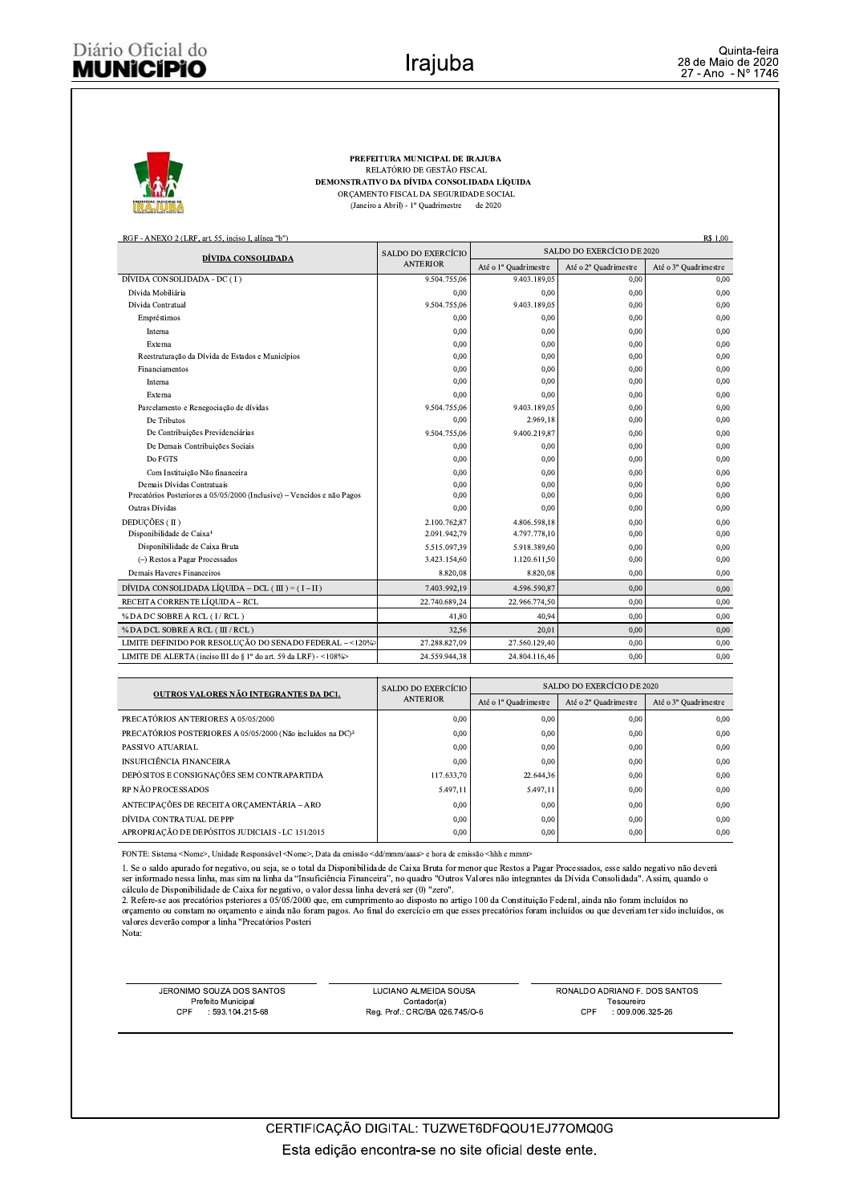R\$ 1.00



PREFEITURA MUNICIPAL DE IRAJUBA RELATÓRIO DE GESTÃO FISCAL DEMONSTRATIVO DA DÍVIDA CONSOLIDADA LÍQUIDA ORÇAMENTO FISCAL DA SEGURIDADE SOCIAL (Janeiro a Abril) - 1º Quadrimestre de 2020

RGF - ANEXO 2 (LRF, art. 55, inciso I, alínea "b")

| DÍVIDA CONSOLIDADA                                                      | SALDO DO EXERCÍCIO | SALDO DO EXERCÍCIO DE 2020 |                       |                       |  |  |
|-------------------------------------------------------------------------|--------------------|----------------------------|-----------------------|-----------------------|--|--|
|                                                                         | <b>ANTERIOR</b>    | Até o 1º Quadrimestre      | Até o 2º Quadrimestre | Até o 3º Quadrimestre |  |  |
| DÍVIDA CONSOLIDADA - DC (I)                                             | 9.504.755,06       | 9.403.189,05               | 0,00                  | 0,00                  |  |  |
| Dívida Mobiliária                                                       | 0.00               | 0.00                       | 0.00                  | 0.00                  |  |  |
| Dívida Contratual                                                       | 9.504.755,06       | 9.403.189,05               | 0,00                  | 0,00                  |  |  |
| Empréstimos                                                             | 0.00               | 0,00                       | 0,00                  | 0,00                  |  |  |
| Interna                                                                 | 0.00               | 0,00                       | 0.00                  | 0.00                  |  |  |
| Externa                                                                 | 0.00               | 0.00                       | 0.00                  | 0.00                  |  |  |
| Reestruturação da Dívida de Estados e Municípios                        | 0,00               | 0,00                       | 0,00                  | 0,00                  |  |  |
| Financiamentos                                                          | 0.00               | 0,00                       | 0,00                  | 0,00                  |  |  |
| Interna                                                                 | 0.00               | 0.00                       | 0.00                  | 0.00                  |  |  |
| Externa                                                                 | 0,00               | 0,00                       | 0,00                  | 0,00                  |  |  |
| Parcelamento e Renegociação de dívidas                                  | 9.504.755,06       | 9.403.189,05               | 0,00                  | 0,00                  |  |  |
| De Tributos                                                             | 0.00               | 2.969,18                   | 0.00                  | 0.00                  |  |  |
| De Contribuições Previdenciárias                                        | 9.504.755,06       | 9.400.219,87               | 0,00                  | 0,00                  |  |  |
| De Demais Contribuições Sociais                                         | 0.00               | 0,00                       | 0,00                  | 0,00                  |  |  |
| Do FGTS                                                                 | 0.00               | 0,00                       | 0.00                  | 0.00                  |  |  |
| Com Instituição Não financeira                                          | 0.00               | 0,00                       | 0,00                  | 0,00                  |  |  |
| Demais Dívidas Contratuais                                              | 0.00               | 0,00                       | 0.00                  | 0,00                  |  |  |
| Precatórios Posteriores a 05/05/2000 (Inclusive) - Vencidos e não Pagos | 0,00               | 0,00                       | 0,00                  | 0,00                  |  |  |
| Outras Dívidas                                                          | 0.00               | 0,00                       | 0,00                  | 0,00                  |  |  |
| DEDUCÕES (II)                                                           | 2.100.762,87       | 4.806.598.18               | 0.00                  | 0.00                  |  |  |
| Disponibilidade de Caixa <sup>1</sup>                                   | 2.091.942,79       | 4.797.778,10               | 0,00                  | 0,00                  |  |  |
| Disponibilidade de Caixa Bruta                                          | 5.515.097,39       | 5.918.389.60               | 0.00                  | 0.00                  |  |  |
| (-) Restos a Pagar Processados                                          | 3.423.154,60       | 1.120.611,50               | 0.00                  | 0.00                  |  |  |
| Demais Haveres Financeiros                                              | 8.820.08           | 8.820,08                   | 0,00                  | 0.00                  |  |  |
| DÍVIDA CONSOLIDADA LÍQUIDA – DCL ( III ) = $(I - II)$                   | 7.403.992,19       | 4.596.590.87               | 0.00                  | 0.00                  |  |  |
| RECEITA CORRENTE LÍQUIDA - RCL                                          | 22.740.689,24      | 22.966.774,50              | 0.00                  | 0,00                  |  |  |
| % DA DC SOBRE A RCL (I/RCL)                                             | 41.80              | 40.94                      | 0.00                  | 0.00                  |  |  |
| % DA DCL SOBRE A RCL (III / RCL)                                        | 32,56              | 20,01                      | 0,00                  | 0.00                  |  |  |
| LIMITE DEFINIDO POR RESOLUÇÃO DO SENADO FEDERAL - <120%>                | 27.288.827,09      | 27.560.129,40              | 0.00                  | 0.00                  |  |  |
| LIMITE DE ALERTA (inciso III do § 1° do art. 59 da LRF) - <108%>        | 24.559.944.38      | 24.804.116,46              | 0,00                  | 0.00                  |  |  |

| OUTROS VALORES NÃO INTEGRANTES DA DC1.                                  | SALDO DO EXERCÍCIO | SALDO DO EXERCÍCIO DE 2020 |                       |                       |  |  |
|-------------------------------------------------------------------------|--------------------|----------------------------|-----------------------|-----------------------|--|--|
|                                                                         | <b>ANTERIOR</b>    | Até o 1º Quadrimestre      | Até o 2º Quadrimestre | Até o 3º Quadrimestre |  |  |
| PRECATÓRIOS ANTERIORES A 05/05/2000                                     | 0.00               | 0.00                       | 0.00                  | 0.00                  |  |  |
| PRECATÓRIOS POSTERIORES A 05/05/2000 (Não incluídos na DC) <sup>2</sup> | 0.00               | 0.00                       | 0.00                  | 0.00                  |  |  |
| PASSIVO ATUARIAL                                                        | 0.00               | 0,00                       | 0,00                  | 0.00                  |  |  |
| <b>INSUFICIÊNCIA FINANCEIRA</b>                                         | 0.00               | 0.00                       | 0.00                  | 0.00                  |  |  |
| DEPÓSITOS E CONSIGNAÇÕES SEM CONTRAPARTIDA                              | 117.633,70         | 22.644.36                  | 0,00                  | 0,00                  |  |  |
| RP NÃO PROCESSADOS                                                      | 5.497,11           | 5.497,11                   | 0,00                  | 0.00                  |  |  |
| ANTECIPAÇÕES DE RECEITA ORCAMENTÁRIA - ARO                              | 0.00               | 0.00                       | 0.00                  | 0.00                  |  |  |
| DÍVIDA CONTRATUAL DE PPP                                                | 0.00               | 0.00                       | 0.00                  | 0.00                  |  |  |
| APROPRIACÃO DE DEPÓSITOS JUDICIAIS - LC 151/2015                        | 0.00               | 0,00                       | 0.00                  | 0.00                  |  |  |

FONTE: Sistema <Nome>, Unidade Responsável <Nome>, Data da emissão <dd/mmm/aaaa> e hora de emissão <hhh e mmm>

1. Se o saldo apurado for negativo, ou seja, se o total da Disponibilidade de Caixa Bruta for menor que Restos a Pagar Processados, esse saldo negativo não deverá<br>ser informado nessa linha, mas sim na linha da "Insuficiênc

cálculo de Disponibilidade de Caixa for negativo, o valor dessa linha deverá ser (0) "zero".<br>2. Refere-se aos precatórios psteriores a 05/05/2000 que, em cumprimento ao disposto no artigo 100 da Constituição Federal, ainda valores deverão compor a linha "Precatórios Posteri Nota:

JERONIMO SOUZA DOS SANTOS Prefeito Municipal<br>F : 593.104.215-68 CPF<sup>1</sup>

LUCIANO ALMEIDA SOUSA Contador(a)<br>Reg. Prof.: CRC/BA 026.745/O-6 RONALDO ADRIANO F. DOS SANTOS Tesoureiro CPF : 009.006.325-26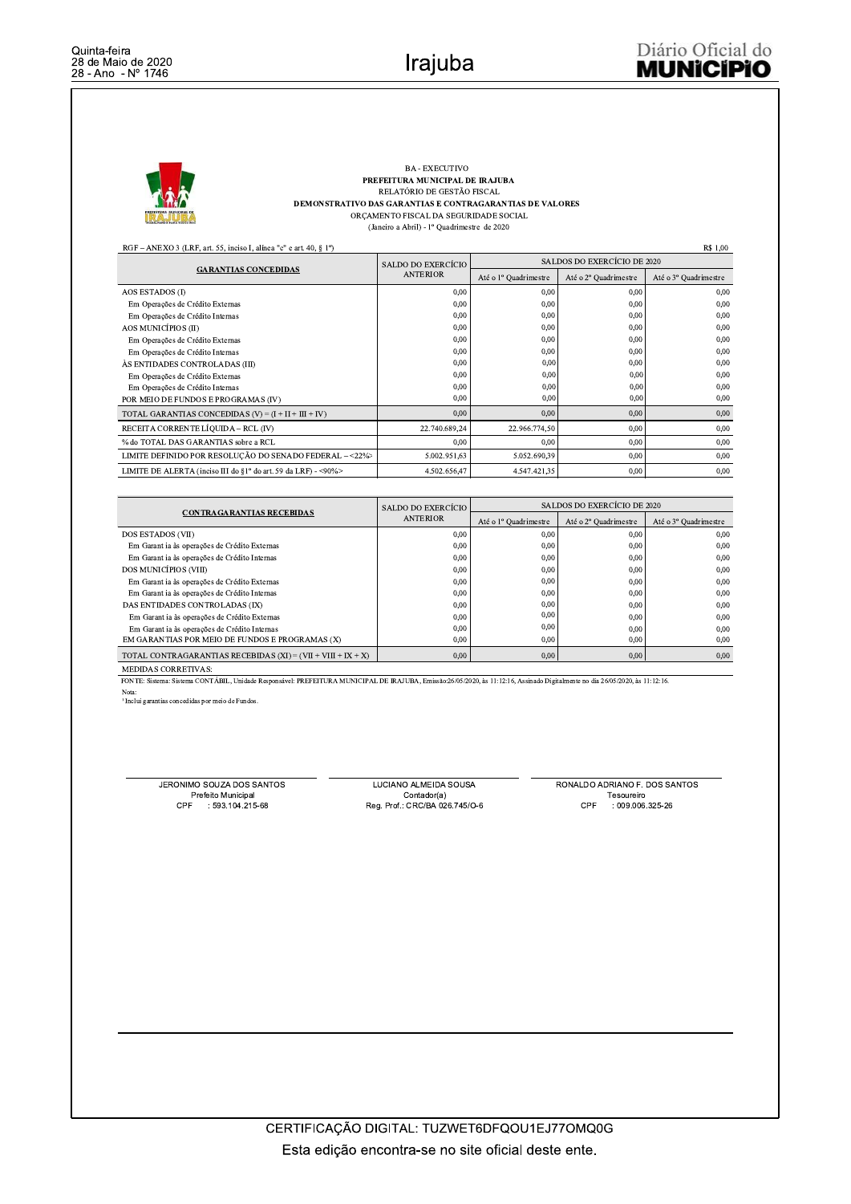

## BA - EXECUTIVO PREFEITURA MUNICIPAL DE IRAJUBA RELATÓRIO DE GESTÃO FISCAL DEMONSTRATIVO DAS GARANTIAS E CONTRAGARANTIAS DE VALORES ORÇAMENTO FISCAL DA SEGURIDADE SOCIAL (Janeiro a Abril) -  $1^{\rm o}$ Quadrimestre $% \left( \beta \right)$ de 2020

RGF - ANEXO 3 (LRF, art. 55, inciso I, alínea "c" e art. 40, § 1°)

| R\$ 1,00<br>$RGF - ANEXO$ 3 (LRF, art. 55, inciso I, alinea "c" e art. 40, § 1°) |                    |                             |                       |                       |  |  |  |  |  |
|----------------------------------------------------------------------------------|--------------------|-----------------------------|-----------------------|-----------------------|--|--|--|--|--|
|                                                                                  | SALDO DO EXERCÍCIO | SALDOS DO EXERCÍCIO DE 2020 |                       |                       |  |  |  |  |  |
| <b>GARANTIAS CONCEDIDAS</b>                                                      | <b>ANTERIOR</b>    | Até o 1º Quadrimestre       | Até o 2º Quadrimestre | Até o 3º Quadrimestre |  |  |  |  |  |
| AOS ESTADOS (I)                                                                  | 0.00               | 0,00                        | 0,00                  | 0.00                  |  |  |  |  |  |
| Em Operações de Crédito Externas                                                 | 0.00               | 0.00                        | 0.00                  | 0.00                  |  |  |  |  |  |
| Em Operações de Crédito Internas                                                 | 0.00               | 0,00                        | 0.00                  | 0.00                  |  |  |  |  |  |
| AOS MUNICÍPIOS (II)                                                              | 0.00               | 0,00                        | 0.00                  | 0,00                  |  |  |  |  |  |
| Em Operações de Crédito Externas                                                 | 0.00               | 0,00                        | 0,00                  | 0.00                  |  |  |  |  |  |
| Em Operações de Crédito Internas                                                 | 0.00               | 0.00                        | 0.00                  | 0.00                  |  |  |  |  |  |
| ÀS ENTIDADES CONTROLADAS (III)                                                   | 0.00               | 0.00                        | 0.00                  | 0.00                  |  |  |  |  |  |
| Em Operações de Crédito Externas                                                 | 0.00               | 0,00                        | 0,00                  | 0.00                  |  |  |  |  |  |
| Em Operações de Crédito Internas                                                 | 0.00               | 0.001                       | 0,00                  | 0,00                  |  |  |  |  |  |
| POR MEIO DE FUNDOS E PROGRAMAS (IV)                                              | 0.00               | 0.001                       | 0,00                  | 0,00                  |  |  |  |  |  |
| TOTAL GARANTIAS CONCEDIDAS $(V) = (I + II + III + IV)$                           | 0.00               | 0,00                        | 0,00                  | 0.00                  |  |  |  |  |  |
| RECEITA CORRENTE LÍQUIDA – RCL (IV)                                              | 22.740.689,24      | 22.966.774,50               | 0.00                  | 0,00                  |  |  |  |  |  |
| % do TOTAL DAS GARANTIAS sobre a RCL                                             | 0.00               | 0,00                        | 0,00                  | 0,00                  |  |  |  |  |  |
| LIMITE DEFINIDO POR RESOLUÇÃO DO SENADO FEDERAL - < 22%                          | 5.002.951,63       | 5.052.690.39                | 0,00                  | 0,00                  |  |  |  |  |  |
| LIMITE DE ALERTA (inciso III do §1° do art. 59 da LRF) - <90%>                   | 4.502.656,47       | 4.547.421.35                | 0.00                  | 0.00                  |  |  |  |  |  |

|                                                              | SALDO DO EXERCÍCIO | SALDOS DO EXERCÍCIO DE 2020 |                       |                       |  |  |
|--------------------------------------------------------------|--------------------|-----------------------------|-----------------------|-----------------------|--|--|
| <b>CONTRAGARANTIAS RECEBIDAS</b>                             | <b>ANTERIOR</b>    | Até o 1º Ouadrimestre       | Até o 2º Ouadrimestre | Até o 3º Ouadrimestre |  |  |
| DOS ESTADOS (VII)                                            | 0.00               | 0,00                        | 0.00                  | 0.00                  |  |  |
| Em Garant ia às operações de Crédito Externas                | 0.00               | 0,00                        | 0.00                  | 0.00                  |  |  |
| Em Garant ia às operações de Crédito Internas                | 0.00               | 0,00                        | 0.00                  | 0.00                  |  |  |
| DOS MUNICÍPIOS (VIII)                                        | 0.00               | 0,00                        | 0.00                  | 0.00                  |  |  |
| Em Garant ia às operações de Crédito Externas                | 0.00               | 0,00                        | 0,00                  | 0.00                  |  |  |
| Em Garant ia às operações de Crédito Internas                | 0.00               | 0,00                        | 0.00                  | 0.00                  |  |  |
| DAS ENTIDADES CONTROLADAS (IX)                               | 0.00               | 0,00                        | 0,00                  | 0.00                  |  |  |
| Em Garant ia às operações de Crédito Externas                | 0.00               | 0,00                        | 0,00                  | 0.00                  |  |  |
| Em Garant ia às operações de Crédito Internas                | 0.00               | 0,00                        | 0.00                  | 0.00                  |  |  |
| EM GARANTIAS POR MEIO DE FUNDOS E PROGRAMAS (X)              | 0.00               | 0.00                        | 0.00                  | 0.00                  |  |  |
| TOTAL CONTRAGARANTIAS RECEBIDAS (XI) = (VII + VIII + IX + X) | 0.00               | 0,00                        | 0,00                  | 0.00                  |  |  |
| <b>MEDIDAS CORRETIVAS:</b>                                   |                    |                             |                       |                       |  |  |

FONTE: Sistema: Sistema CONTÁBIL, Unidade Responsável: PREFEITURA MUNICIPAL DE IRAJUBA, Emissão:26/05/2020, às 11:12:16, Assinado Digitalmente no dia 26/05/2020, às 11:12:16.

Nota:<br>
<sup>1</sup> Inclui garantias concedidas por meio de Fundos.

JERONIMO SOUZA DOS SANTOS<br>Prefeito Municipal<br>CPF : 593.104.215-68

LUCIANO ALMEIDA SOUSA<br>Contador(a)<br>Reg. Prof.: CRC/BA 026.745/O-6

RONALDO ADRIANO F. DOS SANTOS Tesoureiro<br>: 009.006.325-26 CPF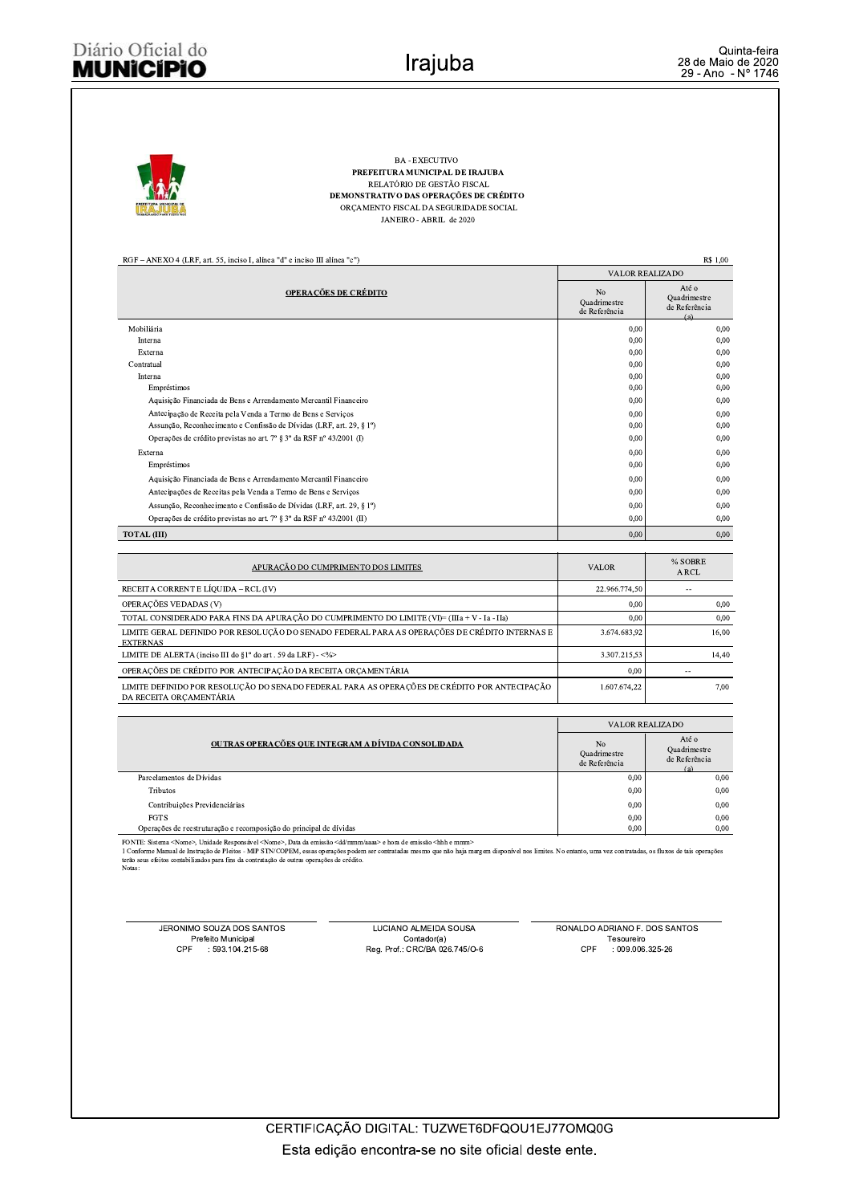## Diário Oficial do **MUNICIPIO**

| <b>BA - EXECUTIVO</b><br>PREFEITURA MUNICIPAL DE IRAJUBA<br>RELATÓRIO DE GESTÃO FISCAL<br>DEMONSTRATIVO DAS OPERAÇÕES DE CRÉDITO<br>ORÇAMENTO FISCAL DA SEGURIDADE SOCIAL<br>JANEIRO - ABRIL de 2020 |                                     |                                               |
|------------------------------------------------------------------------------------------------------------------------------------------------------------------------------------------------------|-------------------------------------|-----------------------------------------------|
| RGF - ANEXO 4 (LRF, art. 55, inciso I, alínea "d" e inciso III alínea "c")                                                                                                                           |                                     | R\$ 1.00                                      |
|                                                                                                                                                                                                      | <b>VALOR REALIZADO</b>              |                                               |
| <b>OPERAÇÕES DE CRÉDITO</b>                                                                                                                                                                          | No<br>Quadrimestre<br>de Referência | Até o<br>Quadrimestre<br>de Referência<br>(a) |
| Mobiliária                                                                                                                                                                                           | 0,00                                | 0,00                                          |
| Interna                                                                                                                                                                                              | 0,00                                | 0,00                                          |
| Externa                                                                                                                                                                                              | 0,00                                | 0,00                                          |
| Contratual                                                                                                                                                                                           | 0.00                                | 0.00                                          |
| Interna                                                                                                                                                                                              | 0,00                                | 0,00                                          |
| Empréstimos                                                                                                                                                                                          | 0,00                                | 0,00                                          |
| Aquisição Financiada de Bens e Arrendamento Mercantil Financeiro                                                                                                                                     | 0,00                                | 0.00                                          |
| Antecipação de Receita pela Venda a Termo de Bens e Serviços                                                                                                                                         | 0,00                                | 0.00                                          |
| Assunção, Reconhecimento e Confissão de Dívidas (LRF, art. 29, § 1°)                                                                                                                                 | 0,00                                | 0,00                                          |
| Operações de crédito previstas no art. 7º § 3º da RSF nº 43/2001 (I)                                                                                                                                 | 0.00                                | 0.00                                          |
| Externa                                                                                                                                                                                              | 0,00                                | 0,00                                          |
| Empréstimos                                                                                                                                                                                          | 0.00                                | 0.00                                          |
| Aquisição Financiada de Bens e Arrendamento Mercantil Financeiro                                                                                                                                     | 0,00                                | 0,00                                          |
| Antecipações de Receitas pela Venda a Termo de Bens e Serviços                                                                                                                                       | 0.00                                | 0.00                                          |
| Assunção, Reconhecimento e Confissão de Dívidas (LRF, art. 29, § 1º)                                                                                                                                 | 0.00                                | 0.00                                          |
| Operações de crédito previstas no art. 7º § 3º da RSF nº 43/2001 (II)                                                                                                                                | 0.00                                | 0.00                                          |
| <b>TOTAL (III)</b>                                                                                                                                                                                   | 0.00                                | 0.00                                          |
| APURAÇÃO DO CUMPRIMENTO DOS LIMITES                                                                                                                                                                  | <b>VALOR</b>                        | % SOBRE<br>A RCL                              |
| RECEITA CORRENT E LÍQUIDA - RCL (IV)                                                                                                                                                                 | 22.966.774,50                       | $\sim$                                        |
| OPERAÇÕES VEDADAS (V)                                                                                                                                                                                | 0,00                                | 0.00                                          |
| TOTAL CONSIDERADO PARA FINS DA APURAÇÃO DO CUMPRIMENTO DO LIMITE (VI)= (IIIa + V - Ia - IIa)                                                                                                         | 0.00                                | 0.00                                          |
| LIMITE GERAL DEFINIDO POR RESOLUÇÃO DO SENADO FEDERAL PARA AS OPERAÇÕES DE CRÉDITO INTERNAS E<br><b>EXTERNAS</b>                                                                                     | 3.674.683,92                        | 16,00                                         |
| LIMITE DE ALERTA (inciso III do §1° do art. 59 da LRF) - <%>                                                                                                                                         | 3.307.215,53                        | 14,40                                         |
| OPERAÇÕES DE CRÉDITO POR ANTECIPAÇÃO DA RECEITA ORÇAMENTÁRIA                                                                                                                                         | 0.00                                | Ξ.                                            |
| LIMITE DEFINIDO POR RESOLUCÃO DO SENADO FEDERAL PARA AS OPERAÇÕES DE CRÉDITO POR ANTECIPAÇÃO<br>DA RECEITA ORÇAMENTÁRIA                                                                              | 1.607.674,22                        | 7,00                                          |
|                                                                                                                                                                                                      |                                     |                                               |

|                                                                    | VALOR REALIZADO                     |                                               |  |  |
|--------------------------------------------------------------------|-------------------------------------|-----------------------------------------------|--|--|
| OUTRAS OPERAÇÕES QUE INTEGRAM A DÍVIDA CONSOLIDADA                 | No<br>Quadrimestre<br>de Referência | Até o<br>Quadrimestre<br>de Referência<br>(a) |  |  |
| Parcelamentos de Dívidas                                           | 0.00                                | 0.00                                          |  |  |
| <b>Tributos</b>                                                    | 0.00                                | 0.00                                          |  |  |
| Contribuições Previdenciárias                                      | 0.00                                | 0.00                                          |  |  |
| <b>FGTS</b>                                                        | 0.00                                | 0.00                                          |  |  |
| Operações de reestruturação e recomposição do principal de dívidas | 0,00                                | 0.00                                          |  |  |

FONTE: Sistema <Nome>, Unidade Responsável <Nome>, Data da emissão <dd/mmm/aaaa> e hora de emissão <shbh e mmm><br>1 Conforme Manual de Instrução de Pleitos - MIP STN/COPEM, essas operações podem ser contratadas mesmo que não

JERONIMO SOUZA DOS SANTOS Prefeito Municipal<br>Prefeito Municipal<br>CPF : 593.104.215-68

LUCIANO ALMEIDA SOUSA COCIANO ALMEIDA SOUSA<br>Contador(a)<br>Reg. Prof.: CRC/BA 026.745/O-6 RONALDO ADRIANO F. DOS SANTOS Tesoureiro<br>Tesoureiro<br>: 009.006.325-26  $CPF$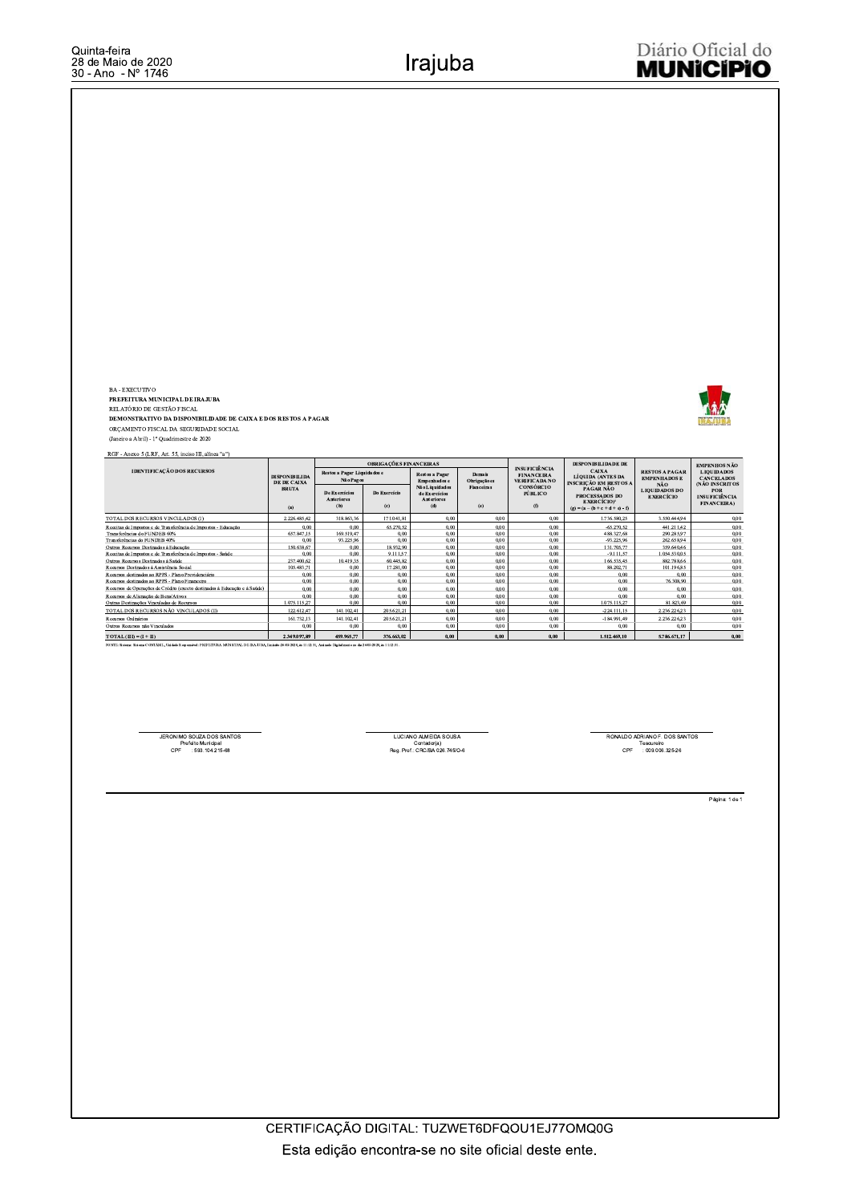BA - EXECUTIVO

ba-exaecuivo<br>PREFEITURA MUNICIPAL DE IRAJUBA<br>RELATÓRIO DE GESTÃO FISCAL<br>DEMONSTRATIVO DA DISPONIBILIDADE DE CAIXA E DOS RESTOS A PAGAR ORÇAMENTO FISCAL DA SEGURIDADE SOCIAL

(Janeiro a Abril) - 1<sup>°</sup> Ouadrimestre de 2020

RGF - Anexo 5 (LRF, Art. 55, inciso III, alinea "a")

|                                                                                                                                                                             |                                            |                                           | OBRIGAÇÕES FINANCEIRAS |                                                             |                              |                                                                   | <b>DISPONIBILIDADE DE</b>                                                                    |                                                  | <b>EMPENHOS NÃO</b>                                      |
|-----------------------------------------------------------------------------------------------------------------------------------------------------------------------------|--------------------------------------------|-------------------------------------------|------------------------|-------------------------------------------------------------|------------------------------|-------------------------------------------------------------------|----------------------------------------------------------------------------------------------|--------------------------------------------------|----------------------------------------------------------|
| <b>IDENTIFICAÇÃO DOS RECURSOS</b>                                                                                                                                           | <b>DISPONIBILIDA</b><br><b>DE DE CAIXA</b> | Restos a Pagar Liquidados e<br>Não Pagos  |                        | Restos a Pagar<br><b>Empenhados</b> e                       | Demais<br><b>Obrigaçãoes</b> | <b>INSUFICIÊNCIA</b><br><b>FINANCEIRA</b><br><b>VERIFICADA NO</b> | <b>CAIXA</b><br><b>LÍOUIDA (ANTES DA</b><br><b>INSCRICÃO EM RESTOS A</b>                     | <b>RESTOS A PAGAR</b><br><b>EMPENHADOS E</b>     | <b>LIQUIDADOS</b><br><b>CANCELADOS</b><br>(NÃO INSCRITOS |
|                                                                                                                                                                             | <b>BRUTA</b><br>(a)                        | <b>De Exercícios</b><br>Anteriores<br>(b) | Do Exercício<br>(c)    | Não Liquidados<br>de Exercícios<br><b>Anteriores</b><br>(d) | <b>Fianceiras</b><br>(e)     | <b>CONSÓRCIO</b><br>PÚBLICO<br>(1)                                | PAGAR NÃO<br><b>PROCESSADOS DO</b><br><b>EXERCÍCIO)</b><br>$(e) = (a - (b + c + d + e) - f)$ | NÃO.<br><b>LIQUIDADOS DO</b><br><b>EXERCÍCIO</b> | <b>POR</b><br><b>INSUFICIÊNCIA</b><br><b>FINANCEIRA)</b> |
| TOTAL DOS RECURSOS VINCULADOS (I)                                                                                                                                           | 2.226.485.42                               | 318,863,36                                | 171.041.81             | 0,00                                                        | 0.00                         | 0,00                                                              | .736.580.25                                                                                  | 3.550,444,94                                     | 0,00                                                     |
| Receitas de Impostos e de Transferência de Impostos - Educação                                                                                                              | 0.00                                       | 0.00                                      | 65.270.52              | 0.00                                                        | 0.00                         | 0.00                                                              | $-65.270.52$                                                                                 | 441.211.42                                       | 0,00                                                     |
| Transferências do FUNDEB 60%                                                                                                                                                | 657.847.15                                 | 169.519.47                                | 0.00                   | 0,00                                                        | 0.00                         | 0,00                                                              | 488.327,68                                                                                   | 290.285,97                                       | 0,00                                                     |
| Transferências do FUNDEB 40%                                                                                                                                                | 0.00                                       | 93.225.96                                 | 0.00                   | 0.00                                                        | 0.00                         | 0.00                                                              | $-93.225.96$                                                                                 | 262.658.94                                       | 0,00                                                     |
| Outros Recursos Destinados à Educação                                                                                                                                       | 150.638.67                                 | 0.00                                      | 18.932.90              | 0.00                                                        | 0.00                         | 0.00                                                              | 131,705.77                                                                                   | 359,640,46                                       | 0.00.                                                    |
| Receitas de Impostos e de Transferência de Impostos - Saúde                                                                                                                 | 0,00                                       | 0,00                                      | 9.111.57               | 0,00                                                        | 0,00                         | 0.00                                                              | $-9.111.57$                                                                                  | 1.054.530,05                                     | 0,00                                                     |
| Outros Recursos Destinados à Saúde                                                                                                                                          | 237.400.62                                 | 10.419.35                                 | 60.445.82              | 0.00                                                        | 0.00                         | 0.00                                                              | 166.535.45                                                                                   | 882,788,66                                       | 0.00.                                                    |
| Recursos Destinados à Assistência Social                                                                                                                                    | 105.483.71                                 | 0.00                                      | 17.281.00              | 0.00                                                        | 0.00                         | 0.00                                                              | 88.202.71                                                                                    | 101.196.85                                       | 0.00                                                     |
| Recursos destinados ao RPPS - Plano Previdenciário                                                                                                                          | 0.00                                       | 0.00                                      | 0.00.                  | 0.00                                                        | 0.00                         | 0.00                                                              | 0.00                                                                                         | 0.00                                             | 0,00                                                     |
| Recursos destinados ao RPPS - Plano Financeiro.                                                                                                                             | 0.00                                       | 0.00                                      | 0.00.                  | 0.00                                                        | 0.00                         | 0.00                                                              | 0.00                                                                                         | 76.308.90                                        | 0.00                                                     |
| Recursos de Operações de Crédito (exceto destinados à Educação e à Saúde)                                                                                                   | 0.00                                       | 0.00                                      | 0.00                   | 0.00                                                        | 0.00                         | 0.00                                                              | 0.00                                                                                         | 0.00                                             | 0,00                                                     |
| Recursos de Alienação de Bens/Ativos.                                                                                                                                       | 0.00.                                      | 0.00                                      | 0.00.                  | 0,00                                                        | 0.00                         | 0.00                                                              | 0.00.                                                                                        | 0.00                                             | 0,00                                                     |
| Outras Destinações Vinculadas de Recursos                                                                                                                                   | 107511527                                  | 0.00                                      | 0.00                   | 0.00                                                        | 0.00                         | 0.00                                                              | 1075 115 27                                                                                  | 81.823.69                                        | 0.00                                                     |
| TOTAL DOS RECURSOS NÃO VINCULADOS (II)                                                                                                                                      | 122.612.47                                 | 141.102.41                                | 205.621.21             | 0.00                                                        | 0.00                         | 0.00                                                              | $-224.111.15$                                                                                | 2.236.226.23                                     | 0.00                                                     |
| Recursos Ordinários                                                                                                                                                         | 161.732.13                                 | 141.102.41                                | 205.621.21             | 0,00                                                        | 0.00                         | 0,00                                                              | $-184.991.49$                                                                                | 2.236.226.23                                     | 0,00                                                     |
| Outros Recursos não Vinculados                                                                                                                                              | 0.00                                       | 0.00                                      | 0.00                   | 0.00                                                        | 0.00                         | 0.00                                                              | 0.00                                                                                         | 0.00                                             | 0,00                                                     |
| $TOTAL(HD = (I + ID))$                                                                                                                                                      | 2.349.097.89                               | 459.965.77                                | 376.663.02             | 0,00                                                        | 0.00                         | 0.00                                                              | 1.512.469.10                                                                                 | 5.786.671.17                                     | 0,00                                                     |
| FONTE: Sistema: Sistema CONTÁBIL Heidade Responsivel: PREFEITURA MUNICIPAL DE IRA IURA. Emissão 2605/2020. às LU (2:3). Aveirada Divindromas no dia 2605/2020. às LU (2:3). |                                            |                                           |                        |                                                             |                              |                                                                   |                                                                                              |                                                  |                                                          |

JERONIMO SOUZA DOS SANTOS<br>Prefeito Municipal<br>CPF : 593.104.215-68

LUCIANO ALMEIDA SOUSA<br>Contador(a)<br>Reg. Prof.: CRC/BA 026.745/0-6

RONALDO ADRIANO F. DOS SANTOS<br>Tesoureiro<br>CPF : 009.006.325-26

Página: 1 de 1